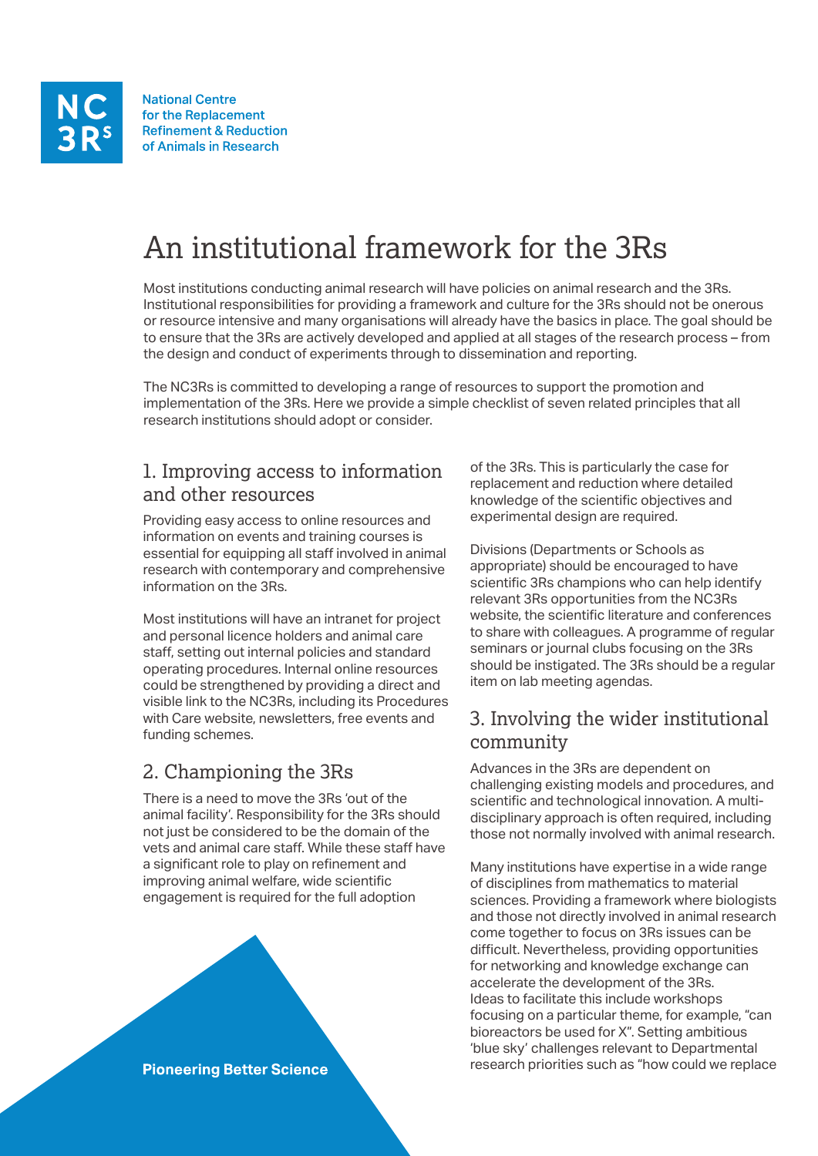**National Centre** for the Replacement **Refinement & Reduction** of Animals in Research

# An institutional framework for the 3Rs

Most institutions conducting animal research will have policies on animal research and the 3Rs. Institutional responsibilities for providing a framework and culture for the 3Rs should not be onerous or resource intensive and many organisations will already have the basics in place. The goal should be to ensure that the 3Rs are actively developed and applied at all stages of the research process – from the design and conduct of experiments through to dissemination and reporting.

The NC3Rs is committed to developing a range of resources to support the promotion and implementation of the 3Rs. Here we provide a simple checklist of seven related principles that all research institutions should adopt or consider.

#### 1. Improving access to information and other resources

Providing easy access to online resources and information on events and training courses is essential for equipping all staff involved in animal research with contemporary and comprehensive information on the 3Rs.

Most institutions will have an intranet for project and personal licence holders and animal care staff, setting out internal policies and standard operating procedures. Internal online resources could be strengthened by providing a direct and [visible link to the N](http://www.procedureswithcare.org.uk)[C3R](http://www.nc3rs.org.uk)[s, including its Procedures](http://www.procedureswithcare.org.uk)  with Care website, newsletters, free events and funding schemes.

### 2. Championing the 3Rs

There is a need to move the 3Rs 'out of the animal facility'. Responsibility for the 3Rs should not just be considered to be the domain of the vets and animal care staff. While these staff have a significant role to play on refinement and improving animal welfare, wide scientific engagement is required for the full adoption



of the 3Rs. This is particularly the case for replacement and reduction where detailed knowledge of the scientific objectives and experimental design are required.

Divisions (Departments or Schools as appropriate) should be encouraged to have scientific 3Rs champions who can help identify relevant 3Rs opportunities from the NC3Rs website, the scientific literature and conferences to share with colleagues. A programme of regular seminars or journal clubs focusing on the 3Rs should be instigated. The 3Rs should be a regular item on lab meeting agendas.

#### 3. Involving the wider institutional community

Advances in the 3Rs are dependent on challenging existing models and procedures, and scientific and technological innovation. A multidisciplinary approach is often required, including those not normally involved with animal research.

Many institutions have expertise in a wide range of disciplines from mathematics to material sciences. Providing a framework where biologists and those not directly involved in animal research come together to focus on 3Rs issues can be difficult. Nevertheless, providing opportunities for networking and knowledge exchange can accelerate the development of the 3Rs. Ideas to facilitate this include workshops focusing on a particular theme, for example, "can bioreactors be used for X". Setting ambitious 'blue sky' challenges relevant to Departmental research priorities such as "how could we replace